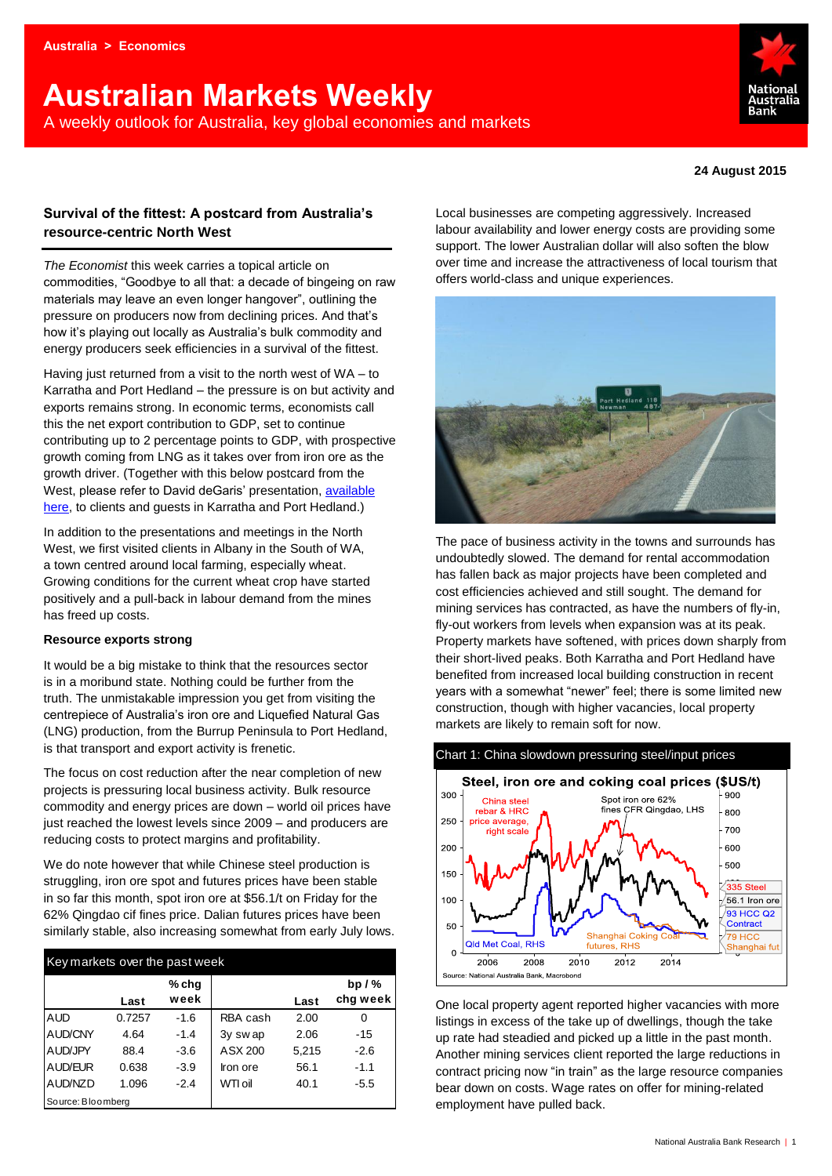# **Australian Markets Weekly**  A weekly outlook for Australia, key global economies and markets



#### **24 August 2015**

# **Survival of the fittest: A postcard from Australia's resource-centric North West**

*The Economist* this week carries a topical article on commodities, "Goodbye to all that: a decade of bingeing on raw materials may leave an even longer hangover", outlining the pressure on producers now from declining prices. And that's how it's playing out locally as Australia's bulk commodity and energy producers seek efficiencies in a survival of the fittest.

Having just returned from a visit to the north west of WA – to Karratha and Port Hedland – the pressure is on but activity and exports remains strong. In economic terms, economists call this the net export contribution to GDP, set to continue contributing up to 2 percentage points to GDP, with prospective growth coming from LNG as it takes over from iron ore as the growth driver. (Together with this below postcard from the West, please refer to David deGaris' presentation, [available](https://www.wholesale.nabgroup.com/sites/research/Publications/2015/Ad%20hoc%20%5bAustralia%2024-8-2015%5d15255.pdf)  [here,](https://www.wholesale.nabgroup.com/sites/research/Publications/2015/Ad%20hoc%20%5bAustralia%2024-8-2015%5d15255.pdf) to clients and guests in Karratha and Port Hedland.)

In addition to the presentations and meetings in the North West, we first visited clients in Albany in the South of WA, a town centred around local farming, especially wheat. Growing conditions for the current wheat crop have started positively and a pull-back in labour demand from the mines has freed up costs.

#### **Resource exports strong**

It would be a big mistake to think that the resources sector is in a moribund state. Nothing could be further from the truth. The unmistakable impression you get from visiting the centrepiece of Australia's iron ore and Liquefied Natural Gas (LNG) production, from the Burrup Peninsula to Port Hedland, is that transport and export activity is frenetic.

The focus on cost reduction after the near completion of new projects is pressuring local business activity. Bulk resource commodity and energy prices are down – world oil prices have just reached the lowest levels since 2009 – and producers are reducing costs to protect margins and profitability.

We do note however that while Chinese steel production is struggling, iron ore spot and futures prices have been stable in so far this month, spot iron ore at \$56.1/t on Friday for the 62% Qingdao cif fines price. Dalian futures prices have been similarly stable, also increasing somewhat from early July lows.

| Key markets over the past week |        |        |          |       |          |  |  |  |  |
|--------------------------------|--------|--------|----------|-------|----------|--|--|--|--|
|                                |        | % chg  |          |       | $bp/$ %  |  |  |  |  |
|                                | Last   | week   |          | Last  | chg week |  |  |  |  |
| <b>AUD</b>                     | 0.7257 | $-1.6$ | RBA cash | 2.00  | 0        |  |  |  |  |
| AUD/CNY                        | 4.64   | $-1.4$ | 3y swap  | 2.06  | $-15$    |  |  |  |  |
| AUD/JPY                        | 88.4   | $-3.6$ | ASX 200  | 5,215 | $-2.6$   |  |  |  |  |
| AUD/EUR                        | 0.638  | $-3.9$ | Iron ore | 56.1  | $-1.1$   |  |  |  |  |
| AUD/NZD                        | 1.096  | $-2.4$ | WTI oil  | 40.1  | -5.5     |  |  |  |  |
| Source: Bloomberg              |        |        |          |       |          |  |  |  |  |

Local businesses are competing aggressively. Increased labour availability and lower energy costs are providing some support. The lower Australian dollar will also soften the blow over time and increase the attractiveness of local tourism that offers world-class and unique experiences.



The pace of business activity in the towns and surrounds has undoubtedly slowed. The demand for rental accommodation has fallen back as major projects have been completed and cost efficiencies achieved and still sought. The demand for mining services has contracted, as have the numbers of fly-in, fly-out workers from levels when expansion was at its peak. Property markets have softened, with prices down sharply from their short-lived peaks. Both Karratha and Port Hedland have benefited from increased local building construction in recent years with a somewhat "newer" feel; there is some limited new construction, though with higher vacancies, local property markets are likely to remain soft for now.



One local property agent reported higher vacancies with more listings in excess of the take up of dwellings, though the take up rate had steadied and picked up a little in the past month. Another mining services client reported the large reductions in contract pricing now "in train" as the large resource companies bear down on costs. Wage rates on offer for mining-related employment have pulled back.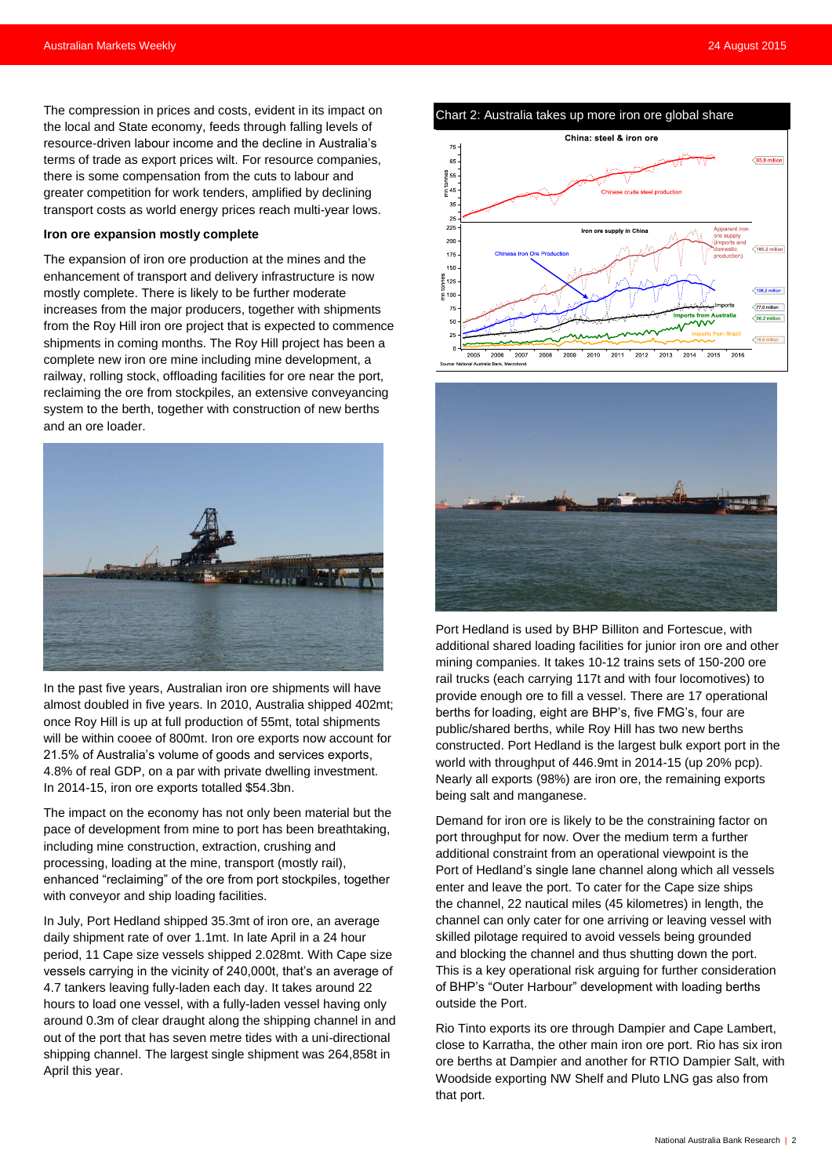The compression in prices and costs, evident in its impact on the local and State economy, feeds through falling levels of resource-driven labour income and the decline in Australia's terms of trade as export prices wilt. For resource companies, there is some compensation from the cuts to labour and greater competition for work tenders, amplified by declining transport costs as world energy prices reach multi-year lows.

#### **Iron ore expansion mostly complete**

The expansion of iron ore production at the mines and the enhancement of transport and delivery infrastructure is now mostly complete. There is likely to be further moderate increases from the major producers, together with shipments from the Roy Hill iron ore project that is expected to commence shipments in coming months. The Roy Hill project has been a complete new iron ore mine including mine development, a railway, rolling stock, offloading facilities for ore near the port, reclaiming the ore from stockpiles, an extensive conveyancing system to the berth, together with construction of new berths and an ore loader.



In the past five years, Australian iron ore shipments will have almost doubled in five years. In 2010, Australia shipped 402mt; once Roy Hill is up at full production of 55mt, total shipments will be within cooee of 800mt. Iron ore exports now account for 21.5% of Australia's volume of goods and services exports, 4.8% of real GDP, on a par with private dwelling investment. In 2014-15, iron ore exports totalled \$54.3bn.

The impact on the economy has not only been material but the pace of development from mine to port has been breathtaking, including mine construction, extraction, crushing and processing, loading at the mine, transport (mostly rail), enhanced "reclaiming" of the ore from port stockpiles, together with conveyor and ship loading facilities.

In July, Port Hedland shipped 35.3mt of iron ore, an average daily shipment rate of over 1.1mt. In late April in a 24 hour period, 11 Cape size vessels shipped 2.028mt. With Cape size vessels carrying in the vicinity of 240,000t, that's an average of 4.7 tankers leaving fully-laden each day. It takes around 22 hours to load one vessel, with a fully-laden vessel having only around 0.3m of clear draught along the shipping channel in and out of the port that has seven metre tides with a uni-directional shipping channel. The largest single shipment was 264,858t in April this year.





Port Hedland is used by BHP Billiton and Fortescue, with additional shared loading facilities for junior iron ore and other mining companies. It takes 10-12 trains sets of 150-200 ore rail trucks (each carrying 117t and with four locomotives) to provide enough ore to fill a vessel. There are 17 operational berths for loading, eight are BHP's, five FMG's, four are public/shared berths, while Roy Hill has two new berths constructed. Port Hedland is the largest bulk export port in the world with throughput of 446.9mt in 2014-15 (up 20% pcp). Nearly all exports (98%) are iron ore, the remaining exports being salt and manganese.

Demand for iron ore is likely to be the constraining factor on port throughput for now. Over the medium term a further additional constraint from an operational viewpoint is the Port of Hedland's single lane channel along which all vessels enter and leave the port. To cater for the Cape size ships the channel, 22 nautical miles (45 kilometres) in length, the channel can only cater for one arriving or leaving vessel with skilled pilotage required to avoid vessels being grounded and blocking the channel and thus shutting down the port. This is a key operational risk arguing for further consideration of BHP's "Outer Harbour" development with loading berths outside the Port.

Rio Tinto exports its ore through Dampier and Cape Lambert, close to Karratha, the other main iron ore port. Rio has six iron ore berths at Dampier and another for RTIO Dampier Salt, with Woodside exporting NW Shelf and Pluto LNG gas also from that port.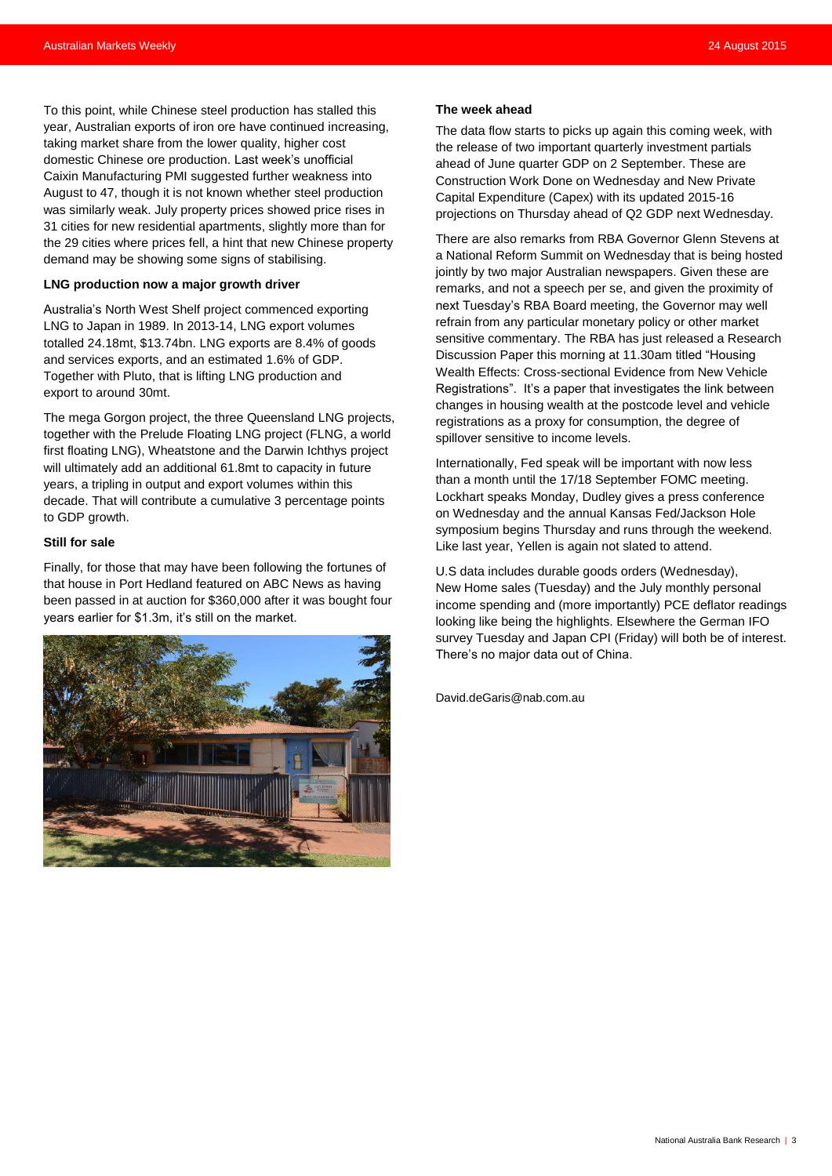To this point, while Chinese steel production has stalled this year, Australian exports of iron ore have continued increasing, taking market share from the lower quality, higher cost domestic Chinese ore production. Last week's unofficial Caixin Manufacturing PMI suggested further weakness into August to 47, though it is not known whether steel production was similarly weak. July property prices showed price rises in 31 cities for new residential apartments, slightly more than for the 29 cities where prices fell, a hint that new Chinese property demand may be showing some signs of stabilising.

#### **LNG production now a major growth driver**

Australia's North West Shelf project commenced exporting LNG to Japan in 1989. In 2013-14, LNG export volumes totalled 24.18mt, \$13.74bn. LNG exports are 8.4% of goods and services exports, and an estimated 1.6% of GDP. Together with Pluto, that is lifting LNG production and export to around 30mt.

The mega Gorgon project, the three Queensland LNG projects, together with the Prelude Floating LNG project (FLNG, a world first floating LNG), Wheatstone and the Darwin Ichthys project will ultimately add an additional 61.8mt to capacity in future years, a tripling in output and export volumes within this decade. That will contribute a cumulative 3 percentage points to GDP growth.

#### **Still for sale**

Finally, for those that may have been following the fortunes of that house in Port Hedland featured on ABC News as having been passed in at auction for \$360,000 after it was bought four years earlier for \$1.3m, it's still on the market.



#### **The week ahead**

The data flow starts to picks up again this coming week, with the release of two important quarterly investment partials ahead of June quarter GDP on 2 September. These are Construction Work Done on Wednesday and New Private Capital Expenditure (Capex) with its updated 2015-16 projections on Thursday ahead of Q2 GDP next Wednesday.

There are also remarks from RBA Governor Glenn Stevens at a National Reform Summit on Wednesday that is being hosted jointly by two major Australian newspapers. Given these are remarks, and not a speech per se, and given the proximity of next Tuesday's RBA Board meeting, the Governor may well refrain from any particular monetary policy or other market sensitive commentary. The RBA has just released a Research Discussion Paper this morning at 11.30am titled "Housing Wealth Effects: Cross-sectional Evidence from New Vehicle Registrations". It's a paper that investigates the link between changes in housing wealth at the postcode level and vehicle registrations as a proxy for consumption, the degree of spillover sensitive to income levels.

Internationally, Fed speak will be important with now less than a month until the 17/18 September FOMC meeting. Lockhart speaks Monday, Dudley gives a press conference on Wednesday and the annual Kansas Fed/Jackson Hole symposium begins Thursday and runs through the weekend. Like last year, Yellen is again not slated to attend.

U.S data includes durable goods orders (Wednesday), New Home sales (Tuesday) and the July monthly personal income spending and (more importantly) PCE deflator readings looking like being the highlights. Elsewhere the German IFO survey Tuesday and Japan CPI (Friday) will both be of interest. There's no major data out of China.

[David.deGaris@nab.com.au](mailto:David.deGaris@nab.com.au)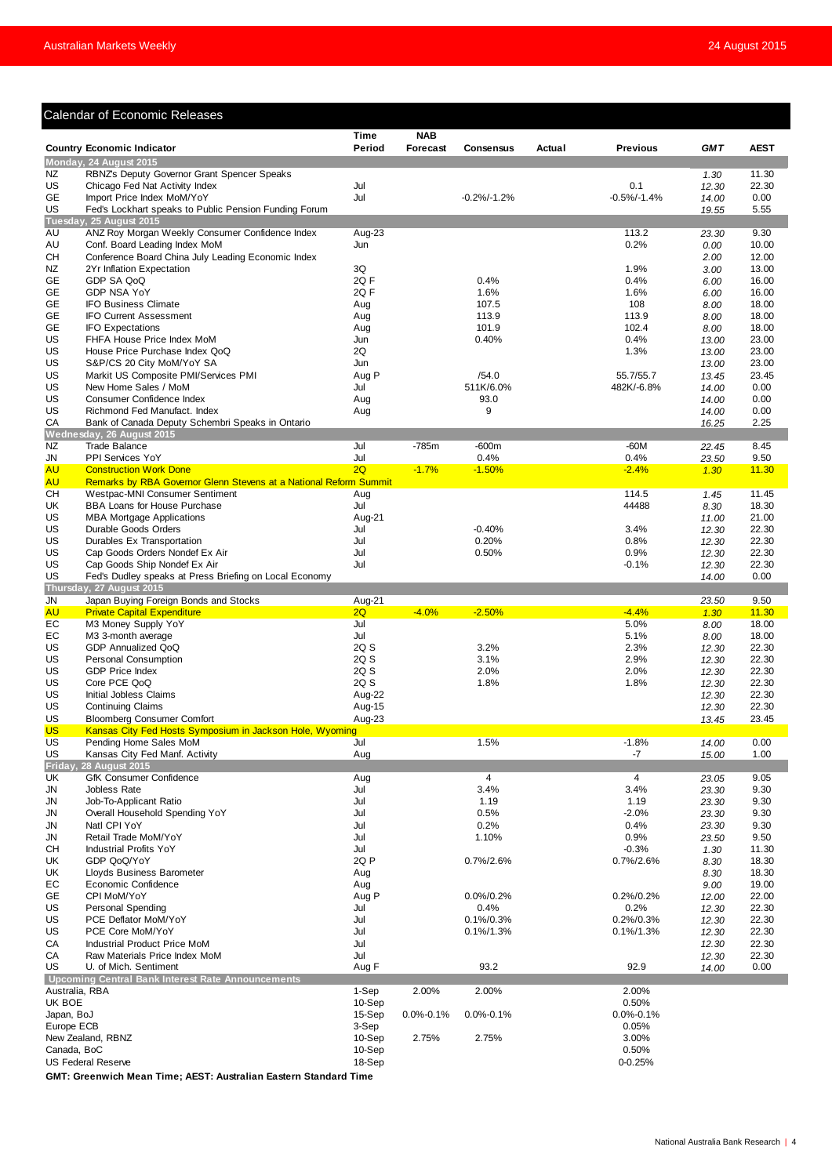# Calendar of Economic Releases

|                          |                                                                                                     | <b>Time</b>     | <b>NAB</b>      |                       |        |                   |                |                |
|--------------------------|-----------------------------------------------------------------------------------------------------|-----------------|-----------------|-----------------------|--------|-------------------|----------------|----------------|
|                          | <b>Country Economic Indicator</b>                                                                   | Period          | <b>Forecast</b> | <b>Consensus</b>      | Actual | <b>Previous</b>   | <b>GMT</b>     | <b>AEST</b>    |
|                          | Monday, 24 August 2015                                                                              |                 |                 |                       |        |                   |                |                |
| NZ<br>US                 | RBNZ's Deputy Governor Grant Spencer Speaks<br>Chicago Fed Nat Activity Index                       | Jul             |                 |                       |        | 0.1               | 1.30           | 11.30<br>22.30 |
| GE                       | Import Price Index MoM/YoY                                                                          | Jul             |                 | $-0.2%/-1.2%$         |        | $-0.5\%/ -1.4\%$  | 12.30<br>14.00 | 0.00           |
| US                       | Fed's Lockhart speaks to Public Pension Funding Forum                                               |                 |                 |                       |        |                   | 19.55          | 5.55           |
|                          | Tuesday, 25 August 2015                                                                             |                 |                 |                       |        |                   |                |                |
| AU                       | ANZ Roy Morgan Weekly Consumer Confidence Index                                                     | Aug-23          |                 |                       |        | 113.2             | 23.30          | 9.30           |
| AU<br>CН                 | Conf. Board Leading Index MoM<br>Conference Board China July Leading Economic Index                 | Jun             |                 |                       |        | 0.2%              | 0.00           | 10.00<br>12.00 |
| NZ                       | 2Yr Inflation Expectation                                                                           | 3Q              |                 |                       |        | 1.9%              | 2.00<br>3.00   | 13.00          |
| GE                       | GDP SA QoQ                                                                                          | 2Q F            |                 | 0.4%                  |        | 0.4%              | 6.00           | 16.00          |
| GE                       | <b>GDP NSA YoY</b>                                                                                  | 2QF             |                 | 1.6%                  |        | 1.6%              | 6.00           | 16.00          |
| GE                       | <b>IFO Business Climate</b>                                                                         | Aug             |                 | 107.5                 |        | 108               | 8.00           | 18.00          |
| GE                       | <b>IFO Current Assessment</b>                                                                       | Aug             |                 | 113.9                 |        | 113.9             | 8.00           | 18.00          |
| GE<br>US                 | <b>IFO Expectations</b><br>FHFA House Price Index MoM                                               | Aug<br>Jun      |                 | 101.9<br>0.40%        |        | 102.4<br>0.4%     | 8.00<br>13.00  | 18.00<br>23.00 |
| US                       | House Price Purchase Index QoQ                                                                      | 2Q              |                 |                       |        | 1.3%              | 13.00          | 23.00          |
| US                       | S&P/CS 20 City MoM/YoY SA                                                                           | Jun             |                 |                       |        |                   | 13.00          | 23.00          |
| US                       | Markit US Composite PMI/Services PMI                                                                | Aug P           |                 | /54.0                 |        | 55.7/55.7         | 13.45          | 23.45          |
| US                       | New Home Sales / MoM                                                                                | Jul             |                 | 511K/6.0%             |        | 482K/-6.8%        | 14.00          | 0.00           |
| US                       | Consumer Confidence Index                                                                           | Aug             |                 | 93.0                  |        |                   | 14.00          | 0.00           |
| US<br>CA                 | Richmond Fed Manufact. Index<br>Bank of Canada Deputy Schembri Speaks in Ontario                    | Aug             |                 | 9                     |        |                   | 14.00<br>16.25 | 0.00<br>2.25   |
|                          | Wednesday, 26 August 2015                                                                           |                 |                 |                       |        |                   |                |                |
| NZ                       | <b>Trade Balance</b>                                                                                | Jul             | $-785m$         | $-600m$               |        | $-60M$            | 22.45          | 8.45           |
| JN                       | <b>PPI Services YoY</b>                                                                             | Jul             |                 | 0.4%                  |        | 0.4%              | 23.50          | 9.50           |
| <b>AU</b>                | <b>Construction Work Done</b>                                                                       | 2Q              | $-1.7%$         | $-1.50%$              |        | $-2.4%$           | 1.30           | 11.30          |
| <b>AU</b><br>CН          | Remarks by RBA Governor Glenn Stevens at a National Reform Summit<br>Westpac-MNI Consumer Sentiment | Aug             |                 |                       |        | 114.5             |                | 11.45          |
| UK                       | BBA Loans for House Purchase                                                                        | Jul             |                 |                       |        | 44488             | 1.45<br>8.30   | 18.30          |
| US                       | <b>MBA Mortgage Applications</b>                                                                    | Aug-21          |                 |                       |        |                   | 11.00          | 21.00          |
| US                       | Durable Goods Orders                                                                                | Jul             |                 | $-0.40%$              |        | 3.4%              | 12.30          | 22.30          |
| US                       | Durables Ex Transportation                                                                          | Jul             |                 | 0.20%                 |        | 0.8%              | 12.30          | 22.30          |
| US                       | Cap Goods Orders Nondef Ex Air                                                                      | Jul             |                 | 0.50%                 |        | 0.9%              | 12.30          | 22.30          |
| US                       | Cap Goods Ship Nondef Ex Air                                                                        | Jul             |                 |                       |        | $-0.1%$           | 12.30          | 22.30          |
| US                       | Fed's Dudley speaks at Press Briefing on Local Economy<br>Thursday, 27 August 2015                  |                 |                 |                       |        |                   | 14.00          | 0.00           |
| JN                       | Japan Buying Foreign Bonds and Stocks                                                               | Aug-21          |                 |                       |        |                   | 23.50          | 9.50           |
| <b>AU</b>                | <b>Private Capital Expenditure</b>                                                                  | 2Q              | $-4.0%$         | $-2.50%$              |        | $-4.4%$           | 1.30           | 11.30          |
| EС                       | M3 Money Supply YoY                                                                                 | Jul             |                 |                       |        | 5.0%              | 8.00           | 18.00          |
| EС                       | M3 3-month average                                                                                  | Jul             |                 |                       |        | 5.1%              | 8.00           | 18.00          |
| US                       | GDP Annualized QoQ                                                                                  | 2Q S            |                 | 3.2%                  |        | 2.3%              | 12.30          | 22.30          |
| US<br>US                 | <b>Personal Consumption</b><br><b>GDP Price Index</b>                                               | 2Q S<br>2Q S    |                 | 3.1%<br>2.0%          |        | 2.9%<br>2.0%      | 12.30<br>12.30 | 22.30<br>22.30 |
| US                       | Core PCE QoQ                                                                                        | 2Q S            |                 | 1.8%                  |        | 1.8%              | 12.30          | 22.30          |
| US                       | Initial Jobless Claims                                                                              | Aug-22          |                 |                       |        |                   | 12.30          | 22.30          |
| US                       | <b>Continuing Claims</b>                                                                            | Aug-15          |                 |                       |        |                   | 12.30          | 22.30          |
| US                       | <b>Bloomberg Consumer Comfort</b>                                                                   | Aug-23          |                 |                       |        |                   | 13.45          | 23.45          |
| US                       | Kansas City Fed Hosts Symposium in Jackson Hole, Wyoming                                            |                 |                 |                       |        |                   |                |                |
| US<br>US                 | Pending Home Sales MoM<br>Kansas City Fed Manf. Activity                                            | Jul<br>Aug      |                 | 1.5%                  |        | $-1.8%$<br>-7     | 14.00          | 0.00<br>1.00   |
| Friday,                  | 28 August 2015                                                                                      |                 |                 |                       |        |                   | 15.00          |                |
| UK                       | <b>GfK Consumer Confidence</b>                                                                      | Aug             |                 | 4                     |        | 4                 | 23.05          | 9.05           |
| JN                       | Jobless Rate                                                                                        | Jul             |                 | 3.4%                  |        | 3.4%              | 23.30          | 9.30           |
| JN                       | Job-To-Applicant Ratio                                                                              | Jul             |                 | 1.19                  |        | 1.19              | 23.30          | 9.30           |
| JN                       | Overall Household Spending YoY                                                                      | Jul             |                 | 0.5%                  |        | $-2.0%$           | 23.30          | 9.30           |
| JN<br>JN                 | Natl CPI YoY<br>Retail Trade MoM/YoY                                                                | Jul<br>Jul      |                 | 0.2%<br>1.10%         |        | 0.4%<br>0.9%      | 23.30<br>23.50 | 9.30<br>9.50   |
| CН                       | <b>Industrial Profits YoY</b>                                                                       | Jul             |                 |                       |        | $-0.3%$           | 1.30           | 11.30          |
| UK                       | GDP QoQ/YoY                                                                                         | 2Q P            |                 | $0.7\%/2.6\%$         |        | 0.7%/2.6%         | 8.30           | 18.30          |
| UK                       | Lloyds Business Barometer                                                                           | Aug             |                 |                       |        |                   | 8.30           | 18.30          |
| EС                       | Economic Confidence                                                                                 | Aug             |                 |                       |        |                   | 9.00           | 19.00          |
| GE                       | CPI MoM/YoY                                                                                         | Aug P           |                 | $0.0\%/0.2\%$         |        | 0.2%/0.2%         | 12.00          | 22.00          |
| US                       | <b>Personal Spending</b><br>PCE Deflator MoM/YoY                                                    | Jul<br>Jul      |                 | 0.4%<br>$0.1\%/0.3\%$ |        | 0.2%<br>0.2%/0.3% | 12.30          | 22.30          |
| US<br>US                 | PCE Core MoM/YoY                                                                                    | Jul             |                 | $0.1\%/1.3\%$         |        | 0.1%/1.3%         | 12.30<br>12.30 | 22.30<br>22.30 |
| CA                       | Industrial Product Price MoM                                                                        | Jul             |                 |                       |        |                   | 12.30          | 22.30          |
| СA                       | Raw Materials Price Index MoM                                                                       | Jul             |                 |                       |        |                   | 12.30          | 22.30          |
| US                       | U. of Mich. Sentiment                                                                               | Aug F           |                 | 93.2                  |        | 92.9              | 14.00          | 0.00           |
|                          | Upcoming Central Bank Interest Rate Announcements                                                   |                 |                 |                       |        |                   |                |                |
| Australia, RBA<br>UK BOE |                                                                                                     | 1-Sep<br>10-Sep | 2.00%           | 2.00%                 |        | 2.00%<br>0.50%    |                |                |
| Japan, BoJ               |                                                                                                     | 15-Sep          | $0.0\% - 0.1\%$ | $0.0\% - 0.1\%$       |        | $0.0\% - 0.1\%$   |                |                |
| Europe ECB               |                                                                                                     | 3-Sep           |                 |                       |        | 0.05%             |                |                |
|                          | New Zealand, RBNZ                                                                                   | 10-Sep          | 2.75%           | 2.75%                 |        | 3.00%             |                |                |
| Canada, BoC              |                                                                                                     | 10-Sep          |                 |                       |        | 0.50%             |                |                |
|                          | <b>US Federal Reserve</b>                                                                           | 18-Sep          |                 |                       |        | 0-0.25%           |                |                |

**GMT: Greenwich Mean Time; AEST: Australian Eastern Standard Time**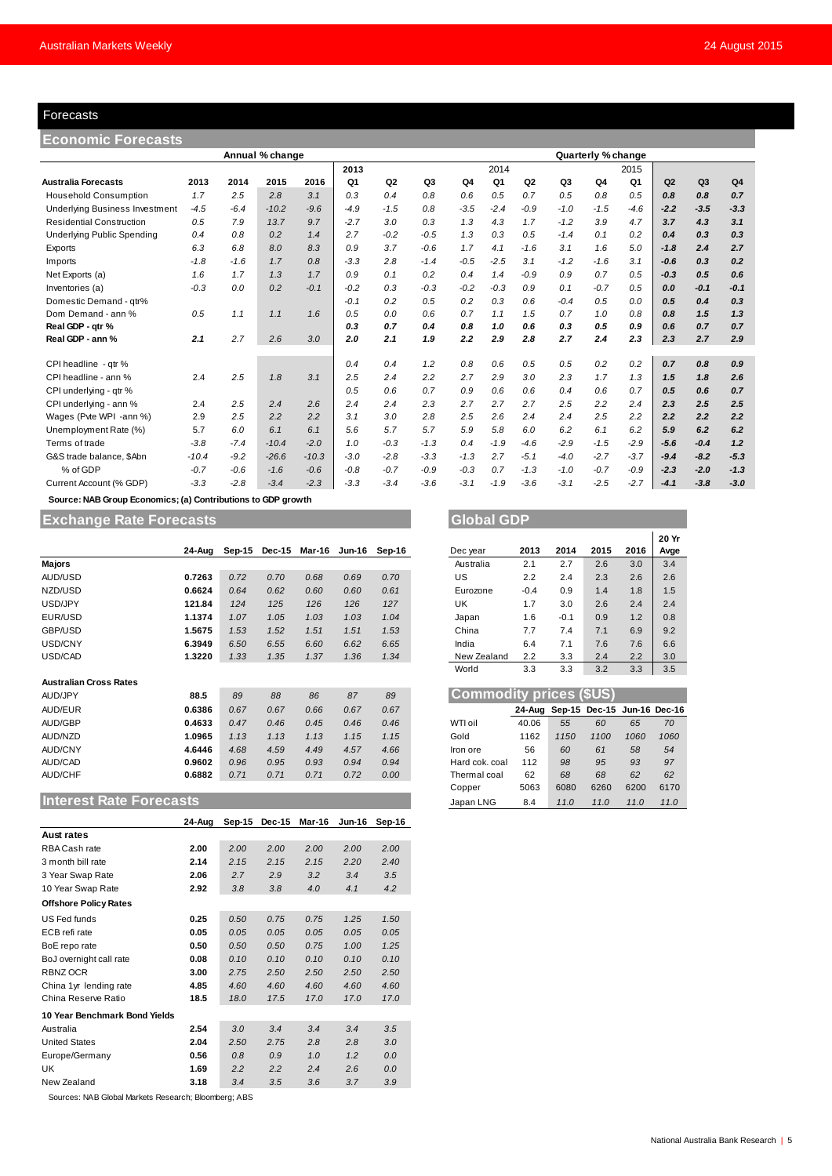### Forecasts

| Forecasts                                                    |         |        |                 |         |                |                |        |        |        |                |        |                    |        |        |                |                |
|--------------------------------------------------------------|---------|--------|-----------------|---------|----------------|----------------|--------|--------|--------|----------------|--------|--------------------|--------|--------|----------------|----------------|
| <b>Economic Forecasts</b>                                    |         |        |                 |         |                |                |        |        |        |                |        |                    |        |        |                |                |
|                                                              |         |        | Annual % change |         |                |                |        |        |        |                |        | Quarterly % change |        |        |                |                |
|                                                              |         |        |                 |         | 2013           |                |        |        | 2014   |                |        |                    | 2015   |        |                |                |
| <b>Australia Forecasts</b>                                   | 2013    | 2014   | 2015            | 2016    | Q <sub>1</sub> | Q <sub>2</sub> | Q3     | Q4     | Q1     | Q <sub>2</sub> | Q3     | Q4                 | Q1     | Q2     | Q <sub>3</sub> | Q <sub>4</sub> |
| <b>Household Consumption</b>                                 | 1.7     | 2.5    | 2.8             | 3.1     | 0.3            | 0.4            | 0.8    | 0.6    | 0.5    | 0.7            | 0.5    | 0.8                | 0.5    | 0.8    | 0.8            | 0.7            |
| <b>Underlying Business Investment</b>                        | $-4.5$  | $-6.4$ | $-10.2$         | $-9.6$  | $-4.9$         | $-1.5$         | 0.8    | $-3.5$ | $-2.4$ | $-0.9$         | $-1.0$ | $-1.5$             | $-4.6$ | $-2.2$ | $-3.5$         | $-3.3$         |
| <b>Residential Construction</b>                              | 0.5     | 7.9    | 13.7            | 9.7     | $-2.7$         | 3.0            | 0.3    | 1.3    | 4.3    | 1.7            | $-1.2$ | 3.9                | 4.7    | 3.7    | 4.3            | 3.1            |
| <b>Underlying Public Spending</b>                            | 0.4     | 0.8    | 0.2             | 1.4     | 2.7            | $-0.2$         | $-0.5$ | 1.3    | 0.3    | 0.5            | $-1.4$ | 0.1                | 0.2    | 0.4    | 0.3            | 0.3            |
| Exports                                                      | 6.3     | 6.8    | 8.0             | 8.3     | 0.9            | 3.7            | $-0.6$ | 1.7    | 4.1    | $-1.6$         | 3.1    | 1.6                | 5.0    | $-1.8$ | 2.4            | 2.7            |
| Imports                                                      | $-1.8$  | $-1.6$ | 1.7             | 0.8     | $-3.3$         | 2.8            | $-1.4$ | $-0.5$ | $-2.5$ | 3.1            | $-1.2$ | $-1.6$             | 3.1    | $-0.6$ | 0.3            | 0.2            |
| Net Exports (a)                                              | 1.6     | 1.7    | 1.3             | 1.7     | 0.9            | 0.1            | 0.2    | 0.4    | 1.4    | $-0.9$         | 0.9    | 0.7                | 0.5    | $-0.3$ | 0.5            | 0.6            |
| Inventories (a)                                              | $-0.3$  | 0.0    | 0.2             | $-0.1$  | $-0.2$         | 0.3            | $-0.3$ | $-0.2$ | $-0.3$ | 0.9            | 0.1    | $-0.7$             | 0.5    | 0.0    | $-0.1$         | $-0.1$         |
| Domestic Demand - qtr%                                       |         |        |                 |         | $-0.1$         | 0.2            | 0.5    | 0.2    | 0.3    | 0.6            | $-0.4$ | 0.5                | 0.0    | 0.5    | 0.4            | 0.3            |
| Dom Demand - ann %                                           | 0.5     | 1.1    | 1.1             | 1.6     | 0.5            | 0.0            | 0.6    | 0.7    | 1.1    | 1.5            | 0.7    | 1.0                | 0.8    | 0.8    | 1.5            | 1.3            |
| Real GDP - qtr %                                             |         |        |                 |         | 0.3            | 0.7            | 0.4    | 0.8    | 1.0    | 0.6            | 0.3    | 0.5                | 0.9    | 0.6    | 0.7            | 0.7            |
| Real GDP - ann %                                             | 2.1     | 2.7    | 2.6             | 3.0     | 2.0            | 2.1            | 1.9    | 2.2    | 2.9    | 2.8            | 2.7    | 2.4                | 2.3    | 2.3    | 2.7            | 2.9            |
| CPI headline - qtr %                                         |         |        |                 |         | 0.4            | 0.4            | 1.2    | 0.8    | 0.6    | 0.5            | 0.5    | 0.2                | 0.2    | 0.7    | 0.8            | 0.9            |
| CPI headline - ann %                                         | 2.4     | 2.5    | 1.8             | 3.1     | 2.5            | 2.4            | 2.2    | 2.7    | 2.9    | 3.0            | 2.3    | 1.7                | 1.3    | 1.5    | 1.8            | 2.6            |
| CPI underlying - qtr %                                       |         |        |                 |         | 0.5            | 0.6            | 0.7    | 0.9    | 0.6    | 0.6            | 0.4    | 0.6                | 0.7    | 0.5    | 0.6            | 0.7            |
| CPI underlying - ann %                                       | 2.4     | 2.5    | 2.4             | 2.6     | 2.4            | 2.4            | 2.3    | 2.7    | 2.7    | 2.7            | 2.5    | 2.2                | 2.4    | 2.3    | 2.5            | 2.5            |
| Wages (Pvte WPI -ann %)                                      | 2.9     | 2.5    | 2.2             | 2.2     | 3.1            | 3.0            | 2.8    | 2.5    | 2.6    | 2.4            | 2.4    | 2.5                | 2.2    | 2.2    | 2.2            | 2.2            |
| Unemployment Rate (%)                                        | 5.7     | 6.0    | 6.1             | 6.1     | 5.6            | 5.7            | 5.7    | 5.9    | 5.8    | 6.0            | 6.2    | 6.1                | 6.2    | 5.9    | 6.2            | 6.2            |
| Terms of trade                                               | $-3.8$  | $-7.4$ | $-10.4$         | $-2.0$  | 1.0            | $-0.3$         | $-1.3$ | 0.4    | $-1.9$ | $-4.6$         | $-2.9$ | $-1.5$             | $-2.9$ | $-5.6$ | $-0.4$         | 1.2            |
| G&S trade balance, \$Abn                                     | $-10.4$ | $-9.2$ | $-26.6$         | $-10.3$ | $-3.0$         | $-2.8$         | $-3.3$ | $-1.3$ | 2.7    | $-5.1$         | $-4.0$ | $-2.7$             | $-3.7$ | $-9.4$ | $-8.2$         | $-5.3$         |
| % of GDP                                                     | $-0.7$  | $-0.6$ | $-1.6$          | $-0.6$  | $-0.8$         | $-0.7$         | $-0.9$ | $-0.3$ | 0.7    | $-1.3$         | $-1.0$ | $-0.7$             | $-0.9$ | $-2.3$ | $-2.0$         | $-1.3$         |
| Current Account (% GDP)                                      | $-3.3$  | $-2.8$ | $-3.4$          | $-2.3$  | $-3.3$         | $-3.4$         | $-3.6$ | $-3.1$ | $-1.9$ | $-3.6$         | $-3.1$ | $-2.5$             | $-2.7$ | $-4.1$ | $-3.8$         | $-3.0$         |
| Source: NAB Group Economics; (a) Contributions to GDP growth |         |        |                 |         |                |                |        |        |        |                |        |                    |        |        |                |                |

# **Exchange Rate Forecasts Global GDP**

|                               | 24-Aug | $Sep-15$ | <b>Dec-15</b> | Mar-16 | <b>Jun-16</b> | Sep-16 |      | Dec year                       | 2013   | 2014          | 2015                 | 2016 | Avge |
|-------------------------------|--------|----------|---------------|--------|---------------|--------|------|--------------------------------|--------|---------------|----------------------|------|------|
| <b>Majors</b>                 |        |          |               |        |               |        |      | Australia                      | 2.1    | 2.7           | 2.6                  | 3.0  | 3.4  |
| AUD/USD                       | 0.7263 | 0.72     | 0.70          | 0.68   | 0.69          | 0.70   | US   |                                | 2.2    | 2.4           | 2.3                  | 2.6  | 2.6  |
| NZD/USD                       | 0.6624 | 0.64     | 0.62          | 0.60   | 0.60          | 0.61   |      | Eurozone                       | $-0.4$ | 0.9           | 1.4                  | 1.8  | 1.5  |
| USD/JPY                       | 121.84 | 124      | 125           | 126    | 126           | 127    | UK   |                                | 1.7    | 3.0           | 2.6                  | 2.4  | 2.4  |
| EUR/USD                       | 1.1374 | 1.07     | 1.05          | 1.03   | 1.03          | 1.04   |      | Japan                          | 1.6    | $-0.1$        | 0.9                  | 1.2  | 0.8  |
| GBP/USD                       | 1.5675 | 1.53     | 1.52          | 1.51   | 1.51          | 1.53   |      | China                          | 7.7    | 7.4           | 7.1                  | 6.9  | 9.2  |
| USD/CNY                       | 6.3949 | 6.50     | 6.55          | 6.60   | 6.62          | 6.65   |      | India                          | 6.4    | 7.1           | 7.6                  | 7.6  | 6.6  |
| USD/CAD                       | 1.3220 | 1.33     | 1.35          | 1.37   | 1.36          | 1.34   |      | New Zealand                    | 2.2    | 3.3           | 2.4                  | 2.2  | 3.0  |
|                               |        |          |               |        |               |        |      | World                          | 3.3    | 3.3           | 3.2                  | 3.3  | 3.5  |
| <b>Australian Cross Rates</b> |        |          |               |        |               |        |      |                                |        |               |                      |      |      |
| AUD/JPY                       | 88.5   | 89       | 88            | 86     | 87            | 89     |      | <b>Commodity prices (\$US)</b> |        |               |                      |      |      |
| AUD/EUR                       | 0.6386 | 0.67     | 0.67          | 0.66   | 0.67          | 0.67   |      |                                |        | 24-Aug Sep-15 | Dec-15 Jun-16 Dec-16 |      |      |
| <b>AUD/GBP</b>                | 0.4633 | 0.47     | 0.46          | 0.45   | 0.46          | 0.46   |      | WTI oil                        | 40.06  | 55            | 60                   | 65   | 70   |
| AUD/NZD                       | 1.0965 | 1.13     | 1.13          | 1.13   | 1.15          | 1.15   | Gold |                                | 1162   | 1150          | 1100                 | 1060 | 1060 |
| <b>AUD/CNY</b>                | 4.6446 | 4.68     | 4.59          | 4.49   | 4.57          | 4.66   |      | Iron ore                       | 56     | 60            | 61                   | 58   | 54   |
| AUD/CAD                       | 0.9602 | 0.96     | 0.95          | 0.93   | 0.94          | 0.94   |      | Hard cok, coal                 | 112    | 98            | 95                   | 93   | 97   |
| <b>AUD/CHF</b>                | 0.6882 | 0.71     | 0.71          | 0.71   | 0.72          | 0.00   |      | Thermal coal                   | 62     | 68            | 68                   | 62   | 62   |
|                               |        |          |               |        |               |        |      | Copper                         | 5063   | 6080          | 6260                 | 6200 | 6170 |

### **Interest Rate Forecasts**

|                               | 24-Aug | Sep-15 | <b>Dec-15</b> | Mar-16 | <b>Jun-16</b> | Sep-16 |
|-------------------------------|--------|--------|---------------|--------|---------------|--------|
| <b>Aust rates</b>             |        |        |               |        |               |        |
| RBA Cash rate                 | 2.00   | 2.00   | 2.00          | 2.00   | 2.00          | 2.00   |
| 3 month bill rate             | 2.14   | 2.15   | 2.15          | 2.15   | 2.20          | 2.40   |
| 3 Year Swap Rate              | 2.06   | 2.7    | 2.9           | 3.2    | 3.4           | 3.5    |
| 10 Year Swap Rate             | 2.92   | 3.8    | 3.8           | 4.0    | 4.1           | 4.2    |
| <b>Offshore Policy Rates</b>  |        |        |               |        |               |        |
| US Fed funds                  | 0.25   | 0.50   | 0.75          | 0.75   | 1.25          | 1.50   |
| ECB refi rate                 | 0.05   | 0.05   | 0.05          | 0.05   | 0.05          | 0.05   |
| BoE repo rate                 | 0.50   | 0.50   | 0.50          | 0.75   | 1.00          | 1.25   |
| BoJ overnight call rate       | 0.08   | 0.10   | 0.10          | 0.10   | 0.10          | 0.10   |
| RBNZ OCR                      | 3.00   | 2.75   | 2.50          | 2.50   | 2.50          | 2.50   |
| China 1yr lending rate        | 4.85   | 4.60   | 4.60          | 4.60   | 4.60          | 4.60   |
| China Reserve Ratio           | 18.5   | 18.0   | 17.5          | 17.0   | 17.0          | 17.0   |
| 10 Year Benchmark Bond Yields |        |        |               |        |               |        |
| Australia                     | 2.54   | 3.0    | 3.4           | 3.4    | 3.4           | 3.5    |
| <b>United States</b>          | 2.04   | 2.50   | 2.75          | 2.8    | 2.8           | 3.0    |
| Europe/Germany                | 0.56   | 0.8    | 0.9           | 1.0    | 1.2           | 0.0    |
| UK                            | 1.69   | 2.2    | 2.2           | 2.4    | 2.6           | 0.0    |
| New Zealand                   | 3.18   | 3.4    | 3.5           | 3.6    | 3.7           | 3.9    |

Sources: NAB Global Markets Research; Bloomberg; ABS

|             |        |        |      |      | 20 Yr |
|-------------|--------|--------|------|------|-------|
| Dec year    | 2013   | 2014   | 2015 | 2016 | Avge  |
| Australia   | 2.1    | 2.7    | 2.6  | 3.0  | 3.4   |
| US          | 2.2    | 2.4    | 2.3  | 2.6  | 2.6   |
| Eurozone    | $-0.4$ | 0.9    | 1.4  | 1.8  | 1.5   |
| UK          | 1.7    | 3.0    | 2.6  | 2.4  | 2.4   |
| Japan       | 1.6    | $-0.1$ | 0.9  | 1.2  | 0.8   |
| China       | 7.7    | 7.4    | 7.1  | 6.9  | 9.2   |
| India       | 6.4    | 7.1    | 7.6  | 7.6  | 6.6   |
| New Zealand | 2.2    | 3.3    | 2.4  | 2.2  | 3.0   |
| World       | 3.3    | 3.3    | 3.2  | 3.3  | 3.5   |

| <b>Commodity prices (\$US)</b> |       |      |                                    |      |      |  |  |  |  |
|--------------------------------|-------|------|------------------------------------|------|------|--|--|--|--|
|                                |       |      | 24-Aug Sep-15 Dec-15 Jun-16 Dec-16 |      |      |  |  |  |  |
| WTI oil                        | 40.06 | 55   | 60                                 | 65   | 70   |  |  |  |  |
| Gold                           | 1162  | 1150 | 1100                               | 1060 | 1060 |  |  |  |  |
| Iron ore                       | 56    | 60   | 61                                 | 58   | 54   |  |  |  |  |
| Hard cok. coal                 | 112   | 98   | 95                                 | 93   | 97   |  |  |  |  |
| Thermal coal                   | 62    | 68   | 68                                 | 62   | 62   |  |  |  |  |
| Copper                         | 5063  | 6080 | 6260                               | 6200 | 6170 |  |  |  |  |
| Japan LNG                      | 8.4   | 11.0 | 11.0                               | 110  | 11.0 |  |  |  |  |